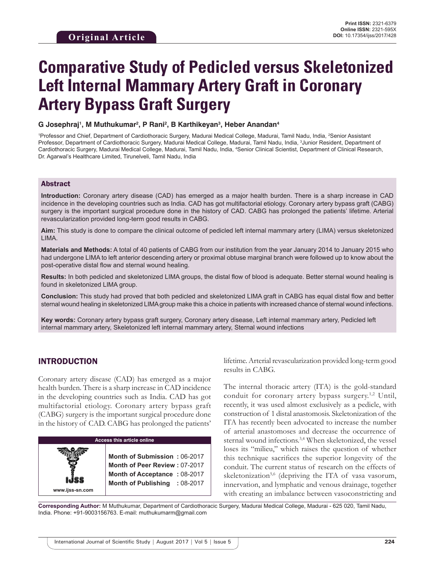# **Comparative Study of Pedicled versus Skeletonized Left Internal Mammary Artery Graft in Coronary Artery Bypass Graft Surgery**

#### $G$  Josephraj<sup>1</sup>, M Muthukumar<sup>2</sup>, P Rani<sup>2</sup>, B Karthikeyan<sup>3</sup>, Heber Anandan<sup>4</sup>

<sup>1</sup>Professor and Chief, Department of Cardiothoracic Surgery, Madurai Medical College, Madurai, Tamil Nadu, India, <sup>2</sup>Senior Assistant Professor, Department of Cardiothoracic Surgery, Madurai Medical College, Madurai, Tamil Nadu, India, <sup>3</sup>Junior Resident, Department of Cardiothoracic Surgery, Madurai Medical College, Madurai, Tamil Nadu, India, <sup>4</sup>Senior Clinical Scientist, Department of Clinical Research, Dr. Agarwal's Healthcare Limited, Tirunelveli, Tamil Nadu, India

#### Abstract

**Introduction:** Coronary artery disease (CAD) has emerged as a major health burden. There is a sharp increase in CAD incidence in the developing countries such as India. CAD has got multifactorial etiology. Coronary artery bypass graft (CABG) surgery is the important surgical procedure done in the history of CAD. CABG has prolonged the patients' lifetime. Arterial revascularization provided long-term good results in CABG.

**Aim:** This study is done to compare the clinical outcome of pedicled left internal mammary artery (LIMA) versus skeletonized LIMA.

**Materials and Methods:** A total of 40 patients of CABG from our institution from the year January 2014 to January 2015 who had undergone LIMA to left anterior descending artery or proximal obtuse marginal branch were followed up to know about the post-operative distal flow and sternal wound healing.

**Results:** In both pedicled and skeletonized LIMA groups, the distal flow of blood is adequate. Better sternal wound healing is found in skeletonized LIMA group.

**Conclusion:** This study had proved that both pedicled and skeletonized LIMA graft in CABG has equal distal flow and better sternal wound healing in skeletonized LIMA group make this a choice in patients with increased chance of sternal wound infections.

**Key words:** Coronary artery bypass graft surgery, Coronary artery disease, Left internal mammary artery, Pedicled left internal mammary artery, Skeletonized left internal mammary artery, Sternal wound infections

# INTRODUCTION

**www.ijss-sn.com**

Coronary artery disease (CAD) has emerged as a major health burden. There is a sharp increase in CAD incidence in the developing countries such as India. CAD has got multifactorial etiology. Coronary artery bypass graft (CABG) surgery is the important surgical procedure done in the history of CAD. CABG has prolonged the patients'

#### **Access this article online**

**Month of Submission :** 06-2017 **Month of Peer Review :** 07-2017 **Month of Acceptance :** 08-2017 **Month of Publishing :** 08-2017 lifetime. Arterial revascularization provided long-term good results in CABG.

The internal thoracic artery (ITA) is the gold-standard conduit for coronary artery bypass surgery.<sup>1,2</sup> Until, recently, it was used almost exclusively as a pedicle, with construction of 1 distal anastomosis. Skeletonization of the ITA has recently been advocated to increase the number of arterial anastomoses and decrease the occurrence of sternal wound infections.<sup>3,4</sup> When skeletonized, the vessel loses its "milieu," which raises the question of whether this technique sacrifices the superior longevity of the conduit. The current status of research on the effects of skeletonization<sup>5,6</sup> (depriving the ITA of vasa vasorum, innervation, and lymphatic and venous drainage, together with creating an imbalance between vasoconstricting and

**Corresponding Author:** M Muthukumar, Department of Cardiothoracic Surgery, Madurai Medical College, Madurai - 625 020, Tamil Nadu, India. Phone: +91-9003156763. E-mail: muthukumarm@gmail.com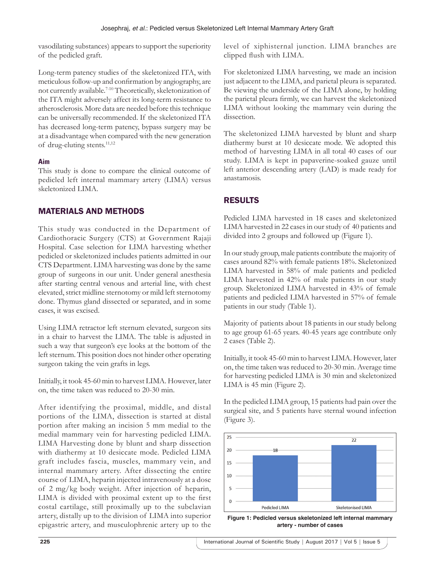vasodilating substances) appears to support the superiority of the pedicled graft.

Long-term patency studies of the skeletonized ITA, with meticulous follow-up and confirmation by angiography, are not currently available.7-10 Theoretically, skeletonization of the ITA might adversely affect its long-term resistance to atherosclerosis. More data are needed before this technique can be universally recommended. If the skeletonized ITA has decreased long-term patency, bypass surgery may be at a disadvantage when compared with the new generation of drug-eluting stents.<sup>11,12</sup>

# **Aim**

This study is done to compare the clinical outcome of pedicled left internal mammary artery (LIMA) versus skeletonized LIMA.

# MATERIALS AND METHODS

This study was conducted in the Department of Cardiothoracic Surgery (CTS) at Government Rajaji Hospital. Case selection for LIMA harvesting whether pedicled or skeletonized includes patients admitted in our CTS Department. LIMA harvesting was done by the same group of surgeons in our unit. Under general anesthesia after starting central venous and arterial line, with chest elevated, strict midline sternotomy or mild left sternotomy done. Thymus gland dissected or separated, and in some cases, it was excised.

Using LIMA retractor left sternum elevated, surgeon sits in a chair to harvest the LIMA. The table is adjusted in such a way that surgeon's eye looks at the bottom of the left sternum. This position does not hinder other operating surgeon taking the vein grafts in legs.

Initially, it took 45-60 min to harvest LIMA. However, later on, the time taken was reduced to 20-30 min.

After identifying the proximal, middle, and distal portions of the LIMA, dissection is started at distal portion after making an incision 5 mm medial to the medial mammary vein for harvesting pedicled LIMA. LIMA Harvesting done by blunt and sharp dissection with diathermy at 10 desiccate mode. Pedicled LIMA graft includes fascia, muscles, mammary vein, and internal mammary artery. After dissecting the entire course of LIMA, heparin injected intravenously at a dose of 2 mg/kg body weight. After injection of heparin, LIMA is divided with proximal extent up to the first costal cartilage, still proximally up to the subclavian artery, distally up to the division of LIMA into superior epigastric artery, and musculophrenic artery up to the level of xiphisternal junction. LIMA branches are clipped flush with LIMA.

For skeletonized LIMA harvesting, we made an incision just adjacent to the LIMA, and parietal pleura is separated. Be viewing the underside of the LIMA alone, by holding the parietal pleura firmly, we can harvest the skeletonized LIMA without looking the mammary vein during the dissection.

The skeletonized LIMA harvested by blunt and sharp diathermy burst at 10 desiccate mode. We adopted this method of harvesting LIMA in all total 40 cases of our study. LIMA is kept in papaverine-soaked gauze until left anterior descending artery (LAD) is made ready for anastamosis.

# RESULTS

Pedicled LIMA harvested in 18 cases and skeletonized LIMA harvested in 22 cases in our study of 40 patients and divided into 2 groups and followed up (Figure 1).

In our study group, male patients contribute the majority of cases around 82% with female patients 18%. Skeletonized LIMA harvested in 58% of male patients and pedicled LIMA harvested in 42% of male patients in our study group. Skeletonized LIMA harvested in 43% of female patients and pedicled LIMA harvested in 57% of female patients in our study (Table 1).

Majority of patients about 18 patients in our study belong to age group 61-65 years. 40-45 years age contribute only 2 cases (Table 2).

Initially, it took 45-60 min to harvest LIMA. However, later on, the time taken was reduced to 20-30 min. Average time for harvesting pedicled LIMA is 30 min and skeletonized LIMA is 45 min (Figure 2).

In the pedicled LIMA group, 15 patients had pain over the surgical site, and 5 patients have sternal wound infection (Figure 3).



**Figure 1: Pedicled versus skeletonized left internal mammary artery - number of cases**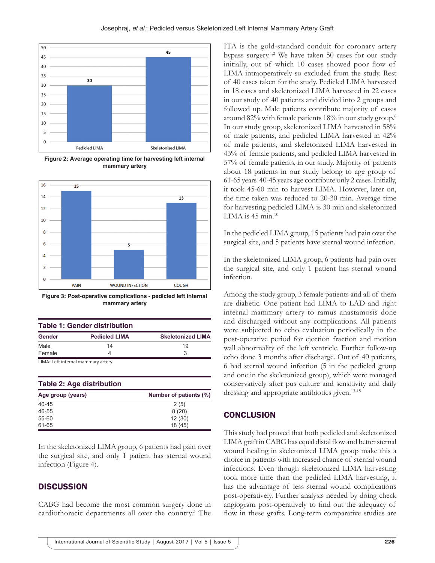

**Figure 2: Average operating time for harvesting left internal mammary artery**



**Figure 3: Post-operative complications - pedicled left internal mammary artery**

| <b>Table 1: Gender distribution</b> |                                    |                          |
|-------------------------------------|------------------------------------|--------------------------|
| <b>Gender</b>                       | <b>Pedicled LIMA</b>               | <b>Skeletonized LIMA</b> |
| Male                                | 14                                 | 19                       |
| Female                              |                                    |                          |
|                                     | LIMA: Left internal mammary artery |                          |

| <b>Table 2: Age distribution</b> |                        |  |
|----------------------------------|------------------------|--|
| Age group (years)                | Number of patients (%) |  |
| $40 - 45$                        | 2(5)                   |  |
| 46-55                            | 8(20)                  |  |
| 55-60                            | 12(30)                 |  |
| 61-65                            | 18 (45)                |  |

In the skeletonized LIMA group, 6 patients had pain over the surgical site, and only 1 patient has sternal wound infection (Figure 4).

# **DISCUSSION**

CABG had become the most common surgery done in cardiothoracic departments all over the country.3 The ITA is the gold-standard conduit for coronary artery bypass surgery.1,2 We have taken 50 cases for our study initially, out of which 10 cases showed poor flow of LIMA intraoperatively so excluded from the study. Rest of 40 cases taken for the study. Pedicled LIMA harvested in 18 cases and skeletonized LIMA harvested in 22 cases in our study of 40 patients and divided into 2 groups and followed up. Male patients contribute majority of cases around 82% with female patients 18% in our study group.6 In our study group, skeletonized LIMA harvested in 58% of male patients, and pedicled LIMA harvested in 42% of male patients, and skeletonized LIMA harvested in 43% of female patients, and pedicled LIMA harvested in 57% of female patients, in our study. Majority of patients about 18 patients in our study belong to age group of 61-65 years. 40-45 years age contribute only 2 cases. Initially, it took 45-60 min to harvest LIMA. However, later on, the time taken was reduced to 20-30 min. Average time for harvesting pedicled LIMA is 30 min and skeletonized LIMA is  $45$  min.<sup>10</sup>

In the pedicled LIMA group, 15 patients had pain over the surgical site, and 5 patients have sternal wound infection.

In the skeletonized LIMA group, 6 patients had pain over the surgical site, and only 1 patient has sternal wound infection.

Among the study group, 3 female patients and all of them are diabetic. One patient had LIMA to LAD and right internal mammary artery to ramus anastamosis done and discharged without any complications. All patients were subjected to echo evaluation periodically in the post-operative period for ejection fraction and motion wall abnormality of the left ventricle. Further follow-up echo done 3 months after discharge. Out of 40 patients, 6 had sternal wound infection (5 in the pedicled group and one in the skeletonized group), which were managed conservatively after pus culture and sensitivity and daily dressing and appropriate antibiotics given.<sup>13-15</sup>

# **CONCLUSION**

This study had proved that both pedicled and skeletonized LIMA graft in CABG has equal distal flow and better sternal wound healing in skeletonized LIMA group make this a choice in patients with increased chance of sternal wound infections. Even though skeletonized LIMA harvesting took more time than the pedicled LIMA harvesting, it has the advantage of less sternal wound complications post-operatively. Further analysis needed by doing check angiogram post-operatively to find out the adequacy of flow in these grafts. Long-term comparative studies are